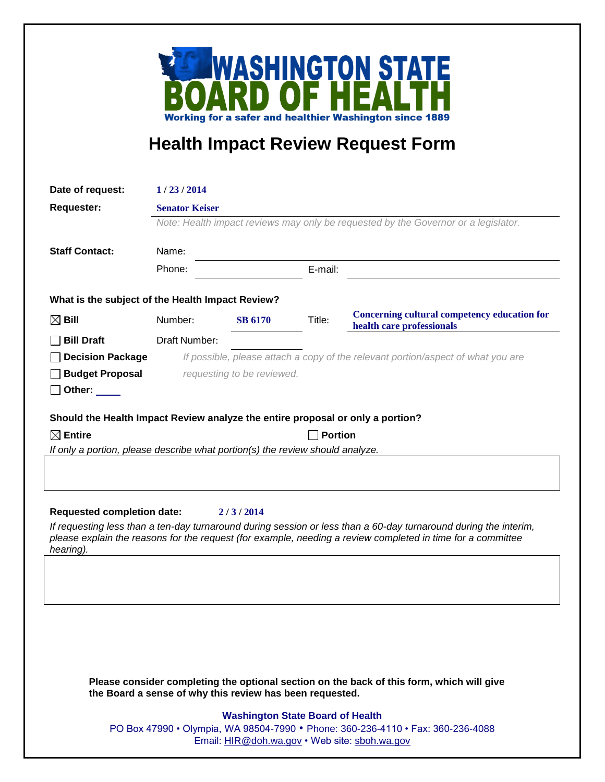

## **Health Impact Review Request Form**

| Date of request:                                                               | 1/23/2014                                                                                                   |                |         |                                                                           |
|--------------------------------------------------------------------------------|-------------------------------------------------------------------------------------------------------------|----------------|---------|---------------------------------------------------------------------------|
| <b>Requester:</b>                                                              | <b>Senator Keiser</b><br>Note: Health impact reviews may only be requested by the Governor or a legislator. |                |         |                                                                           |
|                                                                                |                                                                                                             |                |         |                                                                           |
|                                                                                | Phone:                                                                                                      |                | E-mail: |                                                                           |
| What is the subject of the Health Impact Review?                               |                                                                                                             |                |         |                                                                           |
| $\boxtimes$ Bill                                                               | Number:                                                                                                     | <b>SB 6170</b> | Title:  | Concerning cultural competency education for<br>health care professionals |
| <b>Bill Draft</b>                                                              | Draft Number:                                                                                               |                |         |                                                                           |
| <b>Decision Package</b>                                                        | If possible, please attach a copy of the relevant portion/aspect of what you are                            |                |         |                                                                           |
| <b>Budget Proposal</b>                                                         | requesting to be reviewed.                                                                                  |                |         |                                                                           |
| Other: _____                                                                   |                                                                                                             |                |         |                                                                           |
| Should the Health Impact Review analyze the entire proposal or only a portion? |                                                                                                             |                |         |                                                                           |
| $\boxtimes$ Entire                                                             | <b>Portion</b>                                                                                              |                |         |                                                                           |
| If only a portion, please describe what portion(s) the review should analyze.  |                                                                                                             |                |         |                                                                           |
|                                                                                |                                                                                                             |                |         |                                                                           |
|                                                                                |                                                                                                             |                |         |                                                                           |
|                                                                                |                                                                                                             |                |         |                                                                           |
| <b>Requested completion date:</b>                                              |                                                                                                             | 2/3/2014       |         |                                                                           |

*If requesting less than a ten-day turnaround during session or less than a 60-day turnaround during the interim, please explain the reasons for the request (for example, needing a review completed in time for a committee hearing).*

**Please consider completing the optional section on the back of this form, which will give the Board a sense of why this review has been requested.**

## **Washington State Board of Health**

PO Box 47990 • Olympia, WA 98504-7990 • Phone: 360-236-4110 • Fax: 360-236-4088 Email: [HIR@doh.wa.gov](mailto:HIR@doh.wa.gov) • Web site: [sboh.wa.gov](http://www.sboh.wa.gov/hdcouncil/)